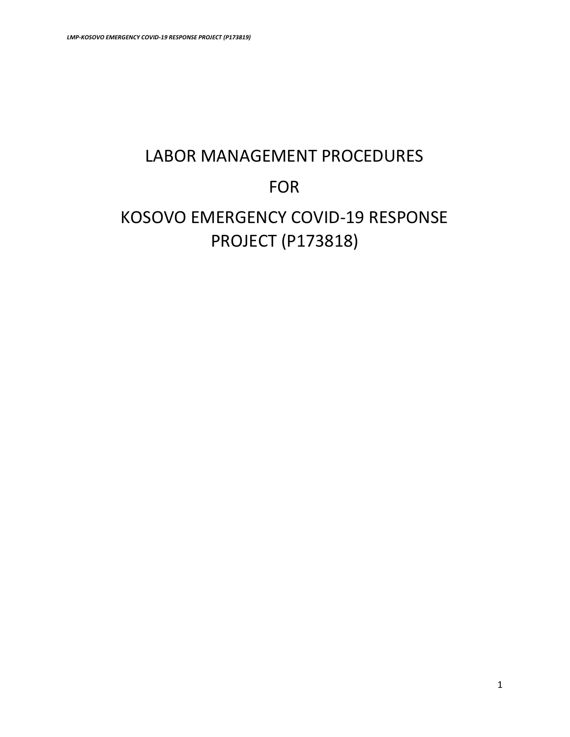# LABOR MANAGEMENT PROCEDURES FOR KOSOVO EMERGENCY COVID-19 RESPONSE PROJECT (P173818)

1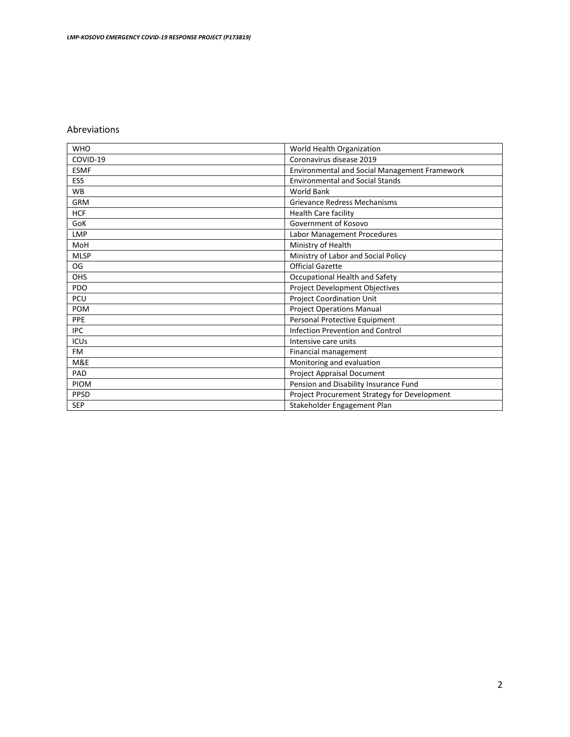#### Abreviations

| <b>WHO</b>  | World Health Organization                            |
|-------------|------------------------------------------------------|
| COVID-19    | Coronavirus disease 2019                             |
| <b>ESMF</b> | <b>Environmental and Social Management Framework</b> |
| ESS         | <b>Environmental and Social Stands</b>               |
| <b>WB</b>   | <b>World Bank</b>                                    |
| <b>GRM</b>  | <b>Grievance Redress Mechanisms</b>                  |
| <b>HCF</b>  | Health Care facility                                 |
| GoK         | Government of Kosovo                                 |
| <b>LMP</b>  | Labor Management Procedures                          |
| MoH         | Ministry of Health                                   |
| <b>MLSP</b> | Ministry of Labor and Social Policy                  |
| OG          | <b>Official Gazette</b>                              |
| <b>OHS</b>  | Occupational Health and Safety                       |
| <b>PDO</b>  | Project Development Objectives                       |
| PCU         | <b>Project Coordination Unit</b>                     |
| <b>POM</b>  | <b>Project Operations Manual</b>                     |
| PPE         | Personal Protective Equipment                        |
| <b>IPC</b>  | Infection Prevention and Control                     |
| <b>ICUs</b> | Intensive care units                                 |
| <b>FM</b>   | Financial management                                 |
| M&E         | Monitoring and evaluation                            |
| PAD         | Project Appraisal Document                           |
| <b>PIOM</b> | Pension and Disability Insurance Fund                |
| <b>PPSD</b> | Project Procurement Strategy for Development         |
| <b>SEP</b>  | Stakeholder Engagement Plan                          |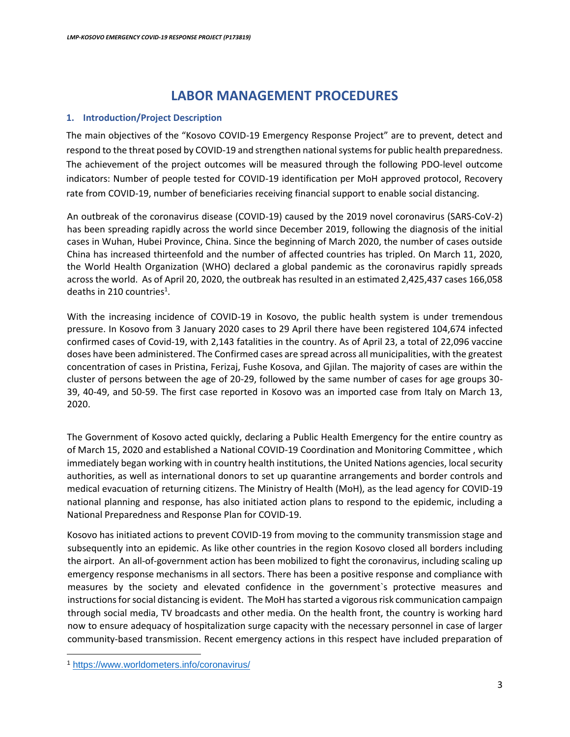# **LABOR MANAGEMENT PROCEDURES**

## **1. Introduction/Project Description**

The main objectives of the "Kosovo COVID-19 Emergency Response Project" are to prevent, detect and respond to the threat posed by COVID-19 and strengthen national systems for public health preparedness. The achievement of the project outcomes will be measured through the following PDO-level outcome indicators: Number of people tested for COVID-19 identification per MoH approved protocol, Recovery rate from COVID-19, number of beneficiaries receiving financial support to enable social distancing.

An outbreak of the coronavirus disease (COVID-19) caused by the 2019 novel coronavirus (SARS-CoV-2) has been spreading rapidly across the world since December 2019, following the diagnosis of the initial cases in Wuhan, Hubei Province, China. Since the beginning of March 2020, the number of cases outside China has increased thirteenfold and the number of affected countries has tripled. On March 11, 2020, the World Health Organization (WHO) declared a global pandemic as the coronavirus rapidly spreads across the world. As of April 20, 2020, the outbreak has resulted in an estimated 2,425,437 cases 166,058 deaths in 210 countries<sup>1</sup>.

With the increasing incidence of COVID-19 in Kosovo, the public health system is under tremendous pressure. In Kosovo from 3 January 2020 cases to 29 April there have been registered 104,674 infected confirmed cases of Covid-19, with 2,143 fatalities in the country. As of April 23, a total of 22,096 vaccine doses have been administered. The Confirmed cases are spread across all municipalities, with the greatest concentration of cases in Pristina, Ferizaj, Fushe Kosova, and Gjilan. The majority of cases are within the cluster of persons between the age of 20-29, followed by the same number of cases for age groups 30- 39, 40-49, and 50-59. The first case reported in Kosovo was an imported case from Italy on March 13, 2020.

The Government of Kosovo acted quickly, declaring a Public Health Emergency for the entire country as of March 15, 2020 and established a National COVID-19 Coordination and Monitoring Committee , which immediately began working with in country health institutions, the United Nations agencies, local security authorities, as well as international donors to set up quarantine arrangements and border controls and medical evacuation of returning citizens. The Ministry of Health (MoH), as the lead agency for COVID-19 national planning and response, has also initiated action plans to respond to the epidemic, including a National Preparedness and Response Plan for COVID-19.

Kosovo has initiated actions to prevent COVID-19 from moving to the community transmission stage and subsequently into an epidemic. As like other countries in the region Kosovo closed all borders including the airport. An all-of-government action has been mobilized to fight the coronavirus, including scaling up emergency response mechanisms in all sectors. There has been a positive response and compliance with measures by the society and elevated confidence in the government`s protective measures and instructions for social distancing is evident. The MoH has started a vigorous risk communication campaign through social media, TV broadcasts and other media. On the health front, the country is working hard now to ensure adequacy of hospitalization surge capacity with the necessary personnel in case of larger community-based transmission. Recent emergency actions in this respect have included preparation of

 $\overline{\phantom{a}}$ <sup>1</sup> <https://www.worldometers.info/coronavirus/>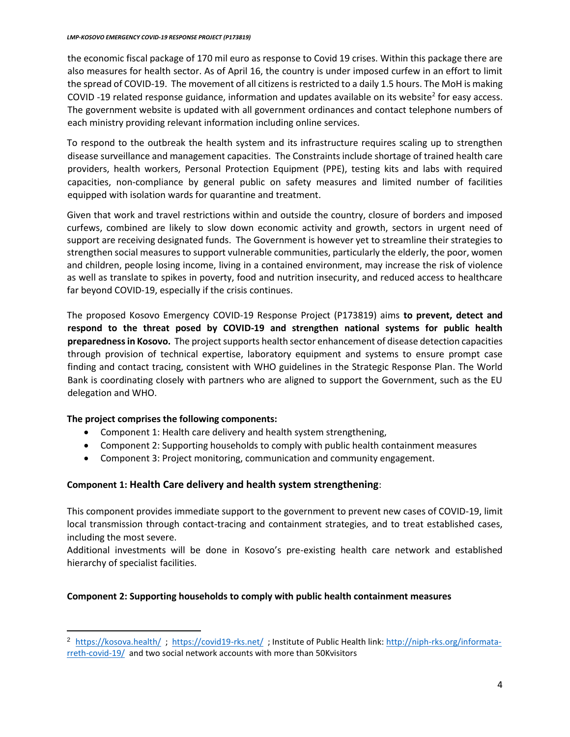the economic fiscal package of 170 mil euro as response to Covid 19 crises. Within this package there are also measures for health sector. As of April 16, the country is under imposed curfew in an effort to limit the spread of COVID-19. The movement of all citizens is restricted to a daily 1.5 hours. The MoH is making COVID-19 related response guidance, information and updates available on its website<sup>2</sup> for easy access. The government website is updated with all government ordinances and contact telephone numbers of each ministry providing relevant information including online services.

To respond to the outbreak the health system and its infrastructure requires scaling up to strengthen disease surveillance and management capacities. The Constraints include shortage of trained health care providers, health workers, Personal Protection Equipment (PPE), testing kits and labs with required capacities, non-compliance by general public on safety measures and limited number of facilities equipped with isolation wards for quarantine and treatment.

Given that work and travel restrictions within and outside the country, closure of borders and imposed curfews, combined are likely to slow down economic activity and growth, sectors in urgent need of support are receiving designated funds. The Government is however yet to streamline their strategies to strengthen social measures to support vulnerable communities, particularly the elderly, the poor, women and children, people losing income, living in a contained environment, may increase the risk of violence as well as translate to spikes in poverty, food and nutrition insecurity, and reduced access to healthcare far beyond COVID-19, especially if the crisis continues.

The proposed Kosovo Emergency COVID-19 Response Project (P173819) aims **to prevent, detect and respond to the threat posed by COVID-19 and strengthen national systems for public health preparedness in Kosovo.** The project supports health sector enhancement of disease detection capacities through provision of technical expertise, laboratory equipment and systems to ensure prompt case finding and contact tracing, consistent with WHO guidelines in the Strategic Response Plan. The World Bank is coordinating closely with partners who are aligned to support the Government, such as the EU delegation and WHO.

# **The project comprises the following components:**

 $\overline{\phantom{a}}$ 

- Component 1: Health care delivery and health system strengthening,
- Component 2: Supporting households to comply with public health containment measures
- Component 3: Project monitoring, communication and community engagement.

# **Component 1: Health Care delivery and health system strengthening**:

This component provides immediate support to the government to prevent new cases of COVID-19, limit local transmission through contact-tracing and containment strategies, and to treat established cases, including the most severe.

Additional investments will be done in Kosovo's pre-existing health care network and established hierarchy of specialist facilities.

#### **Component 2: Supporting households to comply with public health containment measures**

<sup>2</sup> <https://kosova.health/>; <https://covid19-rks.net/>; Institute of Public Health link: [http://niph-rks.org/informata](http://niph-rks.org/informata-rreth-covid-19/)[rreth-covid-19/](http://niph-rks.org/informata-rreth-covid-19/) and two social network accounts with more than 50Kvisitors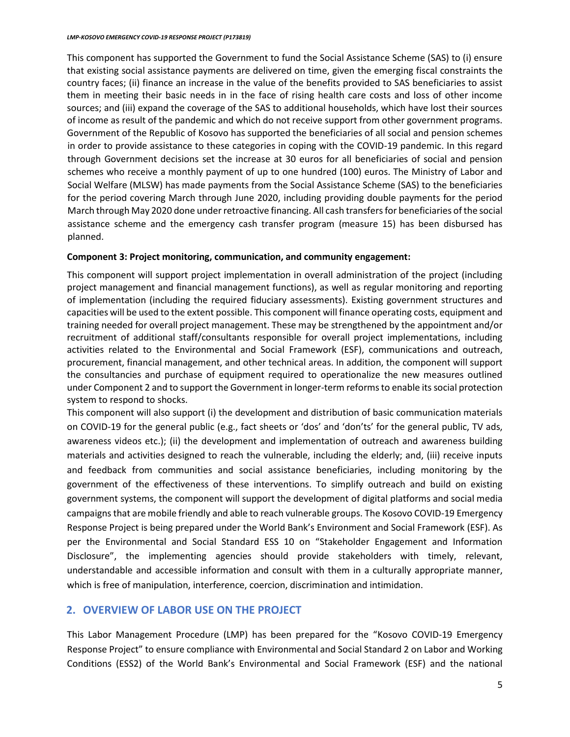This component has supported the Government to fund the Social Assistance Scheme (SAS) to (i) ensure that existing social assistance payments are delivered on time, given the emerging fiscal constraints the country faces; (ii) finance an increase in the value of the benefits provided to SAS beneficiaries to assist them in meeting their basic needs in in the face of rising health care costs and loss of other income sources; and (iii) expand the coverage of the SAS to additional households, which have lost their sources of income as result of the pandemic and which do not receive support from other government programs. Government of the Republic of Kosovo has supported the beneficiaries of all social and pension schemes in order to provide assistance to these categories in coping with the COVID-19 pandemic. In this regard through Government decisions set the increase at 30 euros for all beneficiaries of social and pension schemes who receive a monthly payment of up to one hundred (100) euros. The Ministry of Labor and Social Welfare (MLSW) has made payments from the Social Assistance Scheme (SAS) to the beneficiaries for the period covering March through June 2020, including providing double payments for the period March through May 2020 done under retroactive financing. All cash transfers for beneficiaries of the social assistance scheme and the emergency cash transfer program (measure 15) has been disbursed has planned.

#### **Component 3: Project monitoring, communication, and community engagement:**

This component will support project implementation in overall administration of the project (including project management and financial management functions), as well as regular monitoring and reporting of implementation (including the required fiduciary assessments). Existing government structures and capacities will be used to the extent possible. This component will finance operating costs, equipment and training needed for overall project management. These may be strengthened by the appointment and/or recruitment of additional staff/consultants responsible for overall project implementations, including activities related to the Environmental and Social Framework (ESF), communications and outreach, procurement, financial management, and other technical areas. In addition, the component will support the consultancies and purchase of equipment required to operationalize the new measures outlined under Component 2 and to support the Government in longer-term reforms to enable its social protection system to respond to shocks.

This component will also support (i) the development and distribution of basic communication materials on COVID-19 for the general public (e.g., fact sheets or 'dos' and 'don'ts' for the general public, TV ads, awareness videos etc.); (ii) the development and implementation of outreach and awareness building materials and activities designed to reach the vulnerable, including the elderly; and, (iii) receive inputs and feedback from communities and social assistance beneficiaries, including monitoring by the government of the effectiveness of these interventions. To simplify outreach and build on existing government systems, the component will support the development of digital platforms and social media campaigns that are mobile friendly and able to reach vulnerable groups. The Kosovo COVID-19 Emergency Response Project is being prepared under the World Bank's Environment and Social Framework (ESF). As per the Environmental and Social Standard ESS 10 on "Stakeholder Engagement and Information Disclosure", the implementing agencies should provide stakeholders with timely, relevant, understandable and accessible information and consult with them in a culturally appropriate manner, which is free of manipulation, interference, coercion, discrimination and intimidation.

# **2. OVERVIEW OF LABOR USE ON THE PROJECT**

This Labor Management Procedure (LMP) has been prepared for the "Kosovo COVID-19 Emergency Response Project" to ensure compliance with Environmental and Social Standard 2 on Labor and Working Conditions (ESS2) of the World Bank's Environmental and Social Framework (ESF) and the national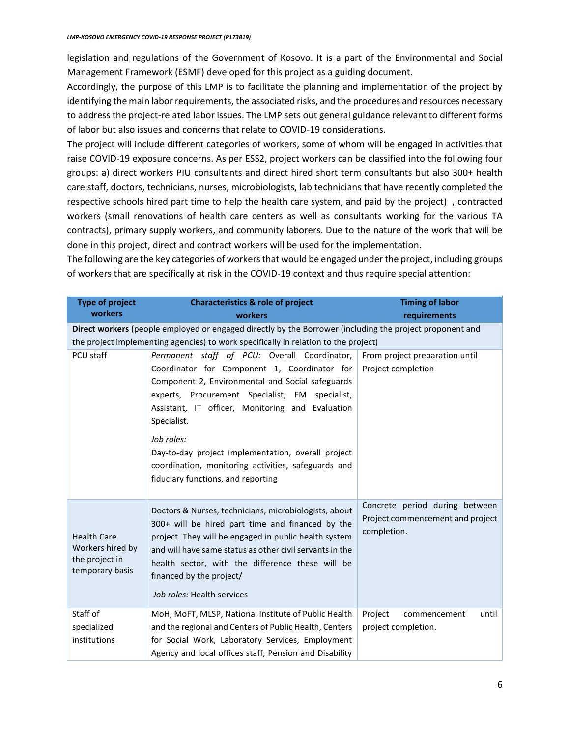legislation and regulations of the Government of Kosovo. It is a part of the Environmental and Social Management Framework (ESMF) developed for this project as a guiding document.

Accordingly, the purpose of this LMP is to facilitate the planning and implementation of the project by identifying the main labor requirements, the associated risks, and the procedures and resources necessary to address the project-related labor issues. The LMP sets out general guidance relevant to different forms of labor but also issues and concerns that relate to COVID-19 considerations.

The project will include different categories of workers, some of whom will be engaged in activities that raise COVID-19 exposure concerns. As per ESS2, project workers can be classified into the following four groups: a) direct workers PIU consultants and direct hired short term consultants but also 300+ health care staff, doctors, technicians, nurses, microbiologists, lab technicians that have recently completed the respective schools hired part time to help the health care system, and paid by the project) , contracted workers (small renovations of health care centers as well as consultants working for the various TA contracts), primary supply workers, and community laborers. Due to the nature of the work that will be done in this project, direct and contract workers will be used for the implementation.

The following are the key categories of workers that would be engaged under the project, including groups of workers that are specifically at risk in the COVID-19 context and thus require special attention:

| <b>Type of project</b><br>workers                                                                        | <b>Characteristics &amp; role of project</b><br>workers                                                                                                                                                                                                                                                                                                                                                                                 | <b>Timing of labor</b><br>requirements                                            |  |  |
|----------------------------------------------------------------------------------------------------------|-----------------------------------------------------------------------------------------------------------------------------------------------------------------------------------------------------------------------------------------------------------------------------------------------------------------------------------------------------------------------------------------------------------------------------------------|-----------------------------------------------------------------------------------|--|--|
| Direct workers (people employed or engaged directly by the Borrower (including the project proponent and |                                                                                                                                                                                                                                                                                                                                                                                                                                         |                                                                                   |  |  |
|                                                                                                          | the project implementing agencies) to work specifically in relation to the project)                                                                                                                                                                                                                                                                                                                                                     |                                                                                   |  |  |
| PCU staff                                                                                                | Permanent staff of PCU: Overall Coordinator,<br>Coordinator for Component 1, Coordinator for<br>Component 2, Environmental and Social safeguards<br>experts, Procurement Specialist, FM specialist,<br>Assistant, IT officer, Monitoring and Evaluation<br>Specialist.<br>Job roles:<br>Day-to-day project implementation, overall project<br>coordination, monitoring activities, safeguards and<br>fiduciary functions, and reporting | From project preparation until<br>Project completion                              |  |  |
| <b>Health Care</b><br>Workers hired by<br>the project in<br>temporary basis                              | Doctors & Nurses, technicians, microbiologists, about<br>300+ will be hired part time and financed by the<br>project. They will be engaged in public health system<br>and will have same status as other civil servants in the<br>health sector, with the difference these will be<br>financed by the project/<br>Job roles: Health services                                                                                            | Concrete period during between<br>Project commencement and project<br>completion. |  |  |
| Staff of<br>specialized<br>institutions                                                                  | MoH, MoFT, MLSP, National Institute of Public Health<br>and the regional and Centers of Public Health, Centers<br>for Social Work, Laboratory Services, Employment<br>Agency and local offices staff, Pension and Disability                                                                                                                                                                                                            | Project<br>until<br>commencement<br>project completion.                           |  |  |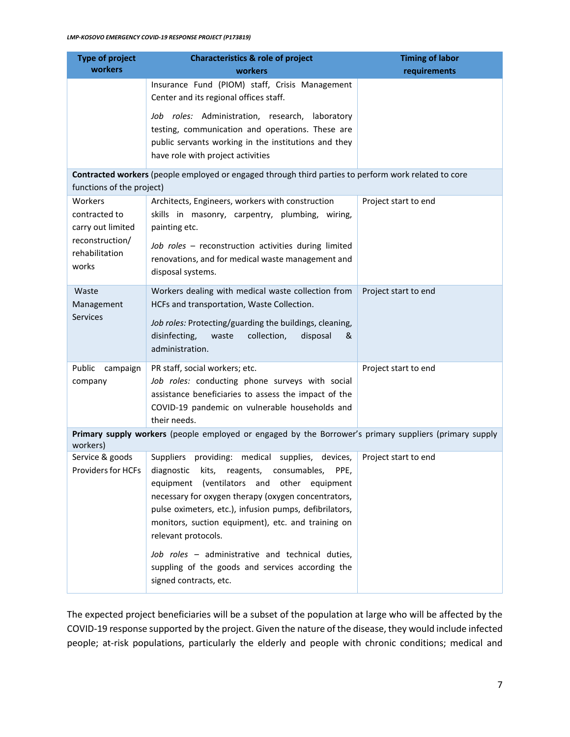| <b>Type of project</b><br>workers                                                                                                 | <b>Characteristics &amp; role of project</b><br>workers                                                                                                                                                                                                                                                                                                                                                                                                                                            | <b>Timing of labor</b> |  |  |
|-----------------------------------------------------------------------------------------------------------------------------------|----------------------------------------------------------------------------------------------------------------------------------------------------------------------------------------------------------------------------------------------------------------------------------------------------------------------------------------------------------------------------------------------------------------------------------------------------------------------------------------------------|------------------------|--|--|
|                                                                                                                                   | Insurance Fund (PIOM) staff, Crisis Management<br>Center and its regional offices staff.                                                                                                                                                                                                                                                                                                                                                                                                           | requirements           |  |  |
|                                                                                                                                   | Job roles: Administration, research, laboratory<br>testing, communication and operations. These are<br>public servants working in the institutions and they<br>have role with project activities                                                                                                                                                                                                                                                                                                   |                        |  |  |
| Contracted workers (people employed or engaged through third parties to perform work related to core<br>functions of the project) |                                                                                                                                                                                                                                                                                                                                                                                                                                                                                                    |                        |  |  |
| Workers<br>contracted to<br>carry out limited<br>reconstruction/<br>rehabilitation<br>works                                       | Architects, Engineers, workers with construction<br>skills in masonry, carpentry, plumbing, wiring,<br>painting etc.<br>Job roles - reconstruction activities during limited<br>renovations, and for medical waste management and<br>disposal systems.                                                                                                                                                                                                                                             | Project start to end   |  |  |
| Waste<br>Management<br><b>Services</b>                                                                                            | Workers dealing with medical waste collection from<br>HCFs and transportation, Waste Collection.<br>Job roles: Protecting/guarding the buildings, cleaning,<br>disinfecting,<br>collection,<br>waste<br>disposal<br>&<br>administration.                                                                                                                                                                                                                                                           | Project start to end   |  |  |
| Public<br>campaign<br>company                                                                                                     | PR staff, social workers; etc.<br>Job roles: conducting phone surveys with social<br>assistance beneficiaries to assess the impact of the<br>COVID-19 pandemic on vulnerable households and<br>their needs.                                                                                                                                                                                                                                                                                        | Project start to end   |  |  |
| Primary supply workers (people employed or engaged by the Borrower's primary suppliers (primary supply<br>workers)                |                                                                                                                                                                                                                                                                                                                                                                                                                                                                                                    |                        |  |  |
| Service & goods<br>Providers for HCFs                                                                                             | Suppliers providing: medical supplies, devices,<br>diagnostic<br>kits,<br>reagents,<br>consumables,<br>PPE,<br>(ventilators and<br>other<br>equipment<br>equipment<br>necessary for oxygen therapy (oxygen concentrators,<br>pulse oximeters, etc.), infusion pumps, defibrilators,<br>monitors, suction equipment), etc. and training on<br>relevant protocols.<br>Job roles - administrative and technical duties,<br>suppling of the goods and services according the<br>signed contracts, etc. | Project start to end   |  |  |

The expected project beneficiaries will be a subset of the population at large who will be affected by the COVID-19 response supported by the project. Given the nature of the disease, they would include infected people; at-risk populations, particularly the elderly and people with chronic conditions; medical and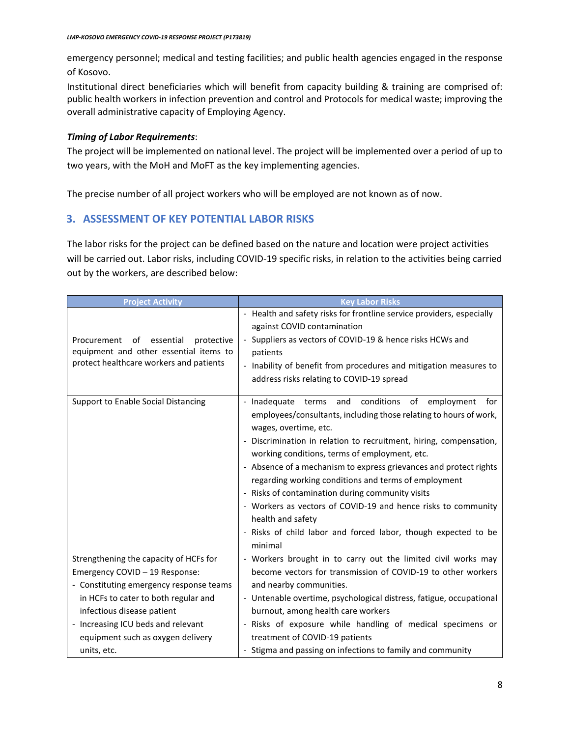emergency personnel; medical and testing facilities; and public health agencies engaged in the response of Kosovo.

Institutional direct beneficiaries which will benefit from capacity building & training are comprised of: public health workers in infection prevention and control and Protocols for medical waste; improving the overall administrative capacity of Employing Agency.

## *Timing of Labor Requirements*:

The project will be implemented on national level. The project will be implemented over a period of up to two years, with the MoH and MoFT as the key implementing agencies.

The precise number of all project workers who will be employed are not known as of now.

# **3. ASSESSMENT OF KEY POTENTIAL LABOR RISKS**

The labor risks for the project can be defined based on the nature and location were project activities will be carried out. Labor risks, including COVID-19 specific risks, in relation to the activities being carried out by the workers, are described below:

| <b>Project Activity</b>                                                                                                           | <b>Key Labor Risks</b>                                                                                                                                                                                                                                                                                                                                                                                                                                                                                                                                                                                                                         |
|-----------------------------------------------------------------------------------------------------------------------------------|------------------------------------------------------------------------------------------------------------------------------------------------------------------------------------------------------------------------------------------------------------------------------------------------------------------------------------------------------------------------------------------------------------------------------------------------------------------------------------------------------------------------------------------------------------------------------------------------------------------------------------------------|
| Procurement<br>essential<br>protective<br>of<br>equipment and other essential items to<br>protect healthcare workers and patients | - Health and safety risks for frontline service providers, especially<br>against COVID contamination<br>Suppliers as vectors of COVID-19 & hence risks HCWs and<br>$\overline{\phantom{a}}$<br>patients<br>- Inability of benefit from procedures and mitigation measures to<br>address risks relating to COVID-19 spread                                                                                                                                                                                                                                                                                                                      |
| Support to Enable Social Distancing                                                                                               | conditions<br>- Inadequate<br>and<br>of<br>employment<br>terms<br>for<br>employees/consultants, including those relating to hours of work,<br>wages, overtime, etc.<br>- Discrimination in relation to recruitment, hiring, compensation,<br>working conditions, terms of employment, etc.<br>- Absence of a mechanism to express grievances and protect rights<br>regarding working conditions and terms of employment<br>- Risks of contamination during community visits<br>- Workers as vectors of COVID-19 and hence risks to community<br>health and safety<br>- Risks of child labor and forced labor, though expected to be<br>minimal |
| Strengthening the capacity of HCFs for                                                                                            | - Workers brought in to carry out the limited civil works may                                                                                                                                                                                                                                                                                                                                                                                                                                                                                                                                                                                  |
| Emergency COVID - 19 Response:                                                                                                    | become vectors for transmission of COVID-19 to other workers                                                                                                                                                                                                                                                                                                                                                                                                                                                                                                                                                                                   |
| - Constituting emergency response teams                                                                                           | and nearby communities.                                                                                                                                                                                                                                                                                                                                                                                                                                                                                                                                                                                                                        |
| in HCFs to cater to both regular and                                                                                              | - Untenable overtime, psychological distress, fatigue, occupational                                                                                                                                                                                                                                                                                                                                                                                                                                                                                                                                                                            |
| infectious disease patient                                                                                                        | burnout, among health care workers                                                                                                                                                                                                                                                                                                                                                                                                                                                                                                                                                                                                             |
| - Increasing ICU beds and relevant                                                                                                | - Risks of exposure while handling of medical specimens or                                                                                                                                                                                                                                                                                                                                                                                                                                                                                                                                                                                     |
| equipment such as oxygen delivery                                                                                                 | treatment of COVID-19 patients                                                                                                                                                                                                                                                                                                                                                                                                                                                                                                                                                                                                                 |
| units, etc.                                                                                                                       | - Stigma and passing on infections to family and community                                                                                                                                                                                                                                                                                                                                                                                                                                                                                                                                                                                     |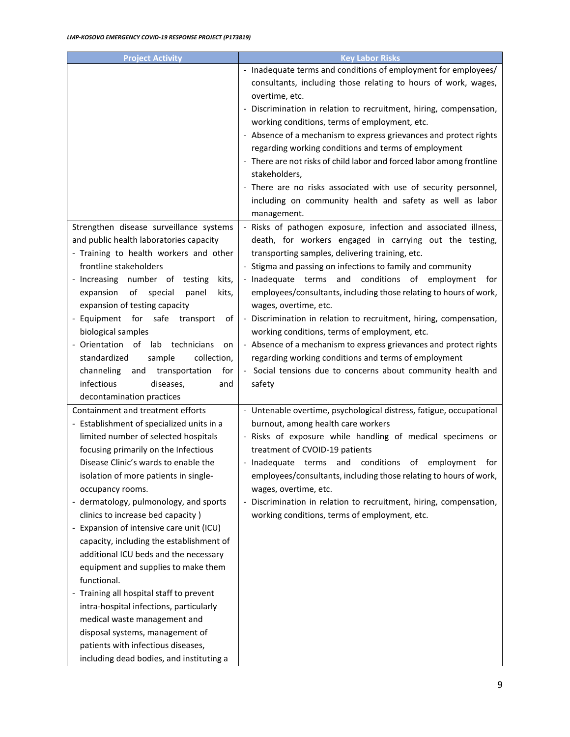| <b>Project Activity</b>                   | <b>Key Labor Risks</b>                                                |
|-------------------------------------------|-----------------------------------------------------------------------|
|                                           | - Inadequate terms and conditions of employment for employees/        |
|                                           | consultants, including those relating to hours of work, wages,        |
|                                           | overtime, etc.                                                        |
|                                           | - Discrimination in relation to recruitment, hiring, compensation,    |
|                                           | working conditions, terms of employment, etc.                         |
|                                           | - Absence of a mechanism to express grievances and protect rights     |
|                                           | regarding working conditions and terms of employment                  |
|                                           | - There are not risks of child labor and forced labor among frontline |
|                                           | stakeholders,                                                         |
|                                           | - There are no risks associated with use of security personnel,       |
|                                           | including on community health and safety as well as labor             |
|                                           | management.                                                           |
| Strengthen disease surveillance systems   | - Risks of pathogen exposure, infection and associated illness,       |
| and public health laboratories capacity   | death, for workers engaged in carrying out the testing,               |
| - Training to health workers and other    | transporting samples, delivering training, etc.                       |
| frontline stakeholders                    | - Stigma and passing on infections to family and community            |
| - Increasing number of testing<br>kits,   | - Inadequate terms and conditions of employment<br>tor                |
| of special<br>expansion<br>kits,<br>panel | employees/consultants, including those relating to hours of work,     |
| expansion of testing capacity             | wages, overtime, etc.                                                 |
| - Equipment for safe transport<br>ot      | - Discrimination in relation to recruitment, hiring, compensation,    |
| biological samples                        | working conditions, terms of employment, etc.                         |
| - Orientation of lab technicians<br>on    | - Absence of a mechanism to express grievances and protect rights     |
| standardized<br>sample<br>collection,     | regarding working conditions and terms of employment                  |
| channeling<br>and transportation<br>for   | - Social tensions due to concerns about community health and          |
| infectious<br>diseases,<br>and            | safety                                                                |
| decontamination practices                 |                                                                       |
| Containment and treatment efforts         | - Untenable overtime, psychological distress, fatigue, occupational   |
| - Establishment of specialized units in a | burnout, among health care workers                                    |
| limited number of selected hospitals      | - Risks of exposure while handling of medical specimens or            |
| focusing primarily on the Infectious      | treatment of CVOID-19 patients                                        |
| Disease Clinic's wards to enable the      | - Inadequate terms and conditions of employment<br>for                |
| isolation of more patients in single-     | employees/consultants, including those relating to hours of work,     |
| occupancy rooms.                          | wages, overtime, etc.                                                 |
| - dermatology, pulmonology, and sports    | Discrimination in relation to recruitment, hiring, compensation,      |
| clinics to increase bed capacity)         | working conditions, terms of employment, etc.                         |
| - Expansion of intensive care unit (ICU)  |                                                                       |
| capacity, including the establishment of  |                                                                       |
| additional ICU beds and the necessary     |                                                                       |
| equipment and supplies to make them       |                                                                       |
| functional.                               |                                                                       |
| - Training all hospital staff to prevent  |                                                                       |
| intra-hospital infections, particularly   |                                                                       |
| medical waste management and              |                                                                       |
| disposal systems, management of           |                                                                       |
| patients with infectious diseases,        |                                                                       |
| including dead bodies, and instituting a  |                                                                       |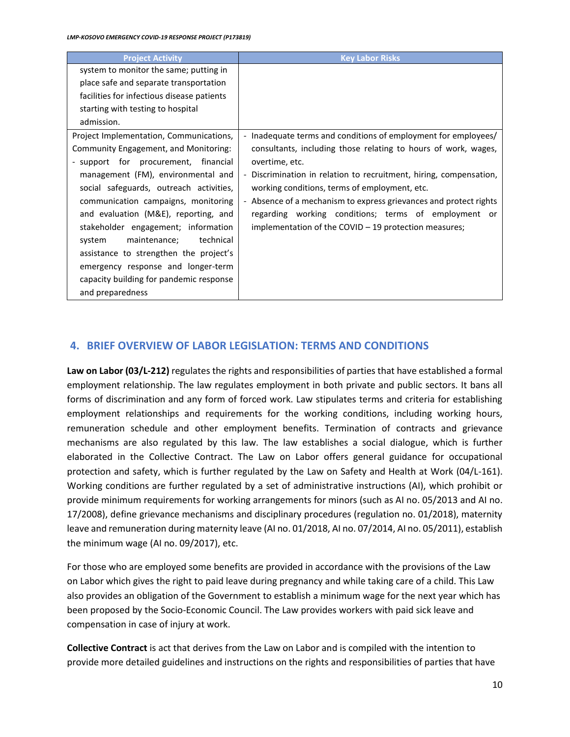| <b>Project Activity</b>                    | <b>Key Labor Risks</b>                                             |
|--------------------------------------------|--------------------------------------------------------------------|
| system to monitor the same; putting in     |                                                                    |
| place safe and separate transportation     |                                                                    |
| facilities for infectious disease patients |                                                                    |
| starting with testing to hospital          |                                                                    |
| admission.                                 |                                                                    |
| Project Implementation, Communications,    | - Inadequate terms and conditions of employment for employees/     |
| Community Engagement, and Monitoring:      | consultants, including those relating to hours of work, wages,     |
| - support for procurement, financial       | overtime, etc.                                                     |
| management (FM), environmental and         | - Discrimination in relation to recruitment, hiring, compensation, |
| social safeguards, outreach activities,    | working conditions, terms of employment, etc.                      |
| communication campaigns, monitoring        | - Absence of a mechanism to express grievances and protect rights  |
| and evaluation (M&E), reporting, and       | regarding working conditions; terms of employment or               |
| stakeholder engagement; information        | implementation of the COVID $-$ 19 protection measures;            |
| maintenance; technical<br>system           |                                                                    |
| assistance to strengthen the project's     |                                                                    |
| emergency response and longer-term         |                                                                    |
| capacity building for pandemic response    |                                                                    |
| and preparedness                           |                                                                    |

# **4. BRIEF OVERVIEW OF LABOR LEGISLATION: TERMS AND CONDITIONS**

**Law on Labor (03/L-212)** regulates the rights and responsibilities of parties that have established a formal employment relationship. The law regulates employment in both private and public sectors. It bans all forms of discrimination and any form of forced work. Law stipulates terms and criteria for establishing employment relationships and requirements for the working conditions, including working hours, remuneration schedule and other employment benefits. Termination of contracts and grievance mechanisms are also regulated by this law. The law establishes a social dialogue, which is further elaborated in the Collective Contract. The Law on Labor offers general guidance for occupational protection and safety, which is further regulated by the Law on Safety and Health at Work (04/L-161). Working conditions are further regulated by a set of administrative instructions (AI), which prohibit or provide minimum requirements for working arrangements for minors (such as AI no. 05/2013 and AI no. 17/2008), define grievance mechanisms and disciplinary procedures (regulation no. 01/2018), maternity leave and remuneration during maternity leave (AI no. 01/2018, AI no. 07/2014, AI no. 05/2011), establish the minimum wage (AI no. 09/2017), etc.

For those who are employed some benefits are provided in accordance with the provisions of the Law on Labor which gives the right to paid leave during pregnancy and while taking care of a child. This Law also provides an obligation of the Government to establish a minimum wage for the next year which has been proposed by the Socio-Economic Council. The Law provides workers with paid sick leave and compensation in case of injury at work.

**Collective Contract** is act that derives from the Law on Labor and is compiled with the intention to provide more detailed guidelines and instructions on the rights and responsibilities of parties that have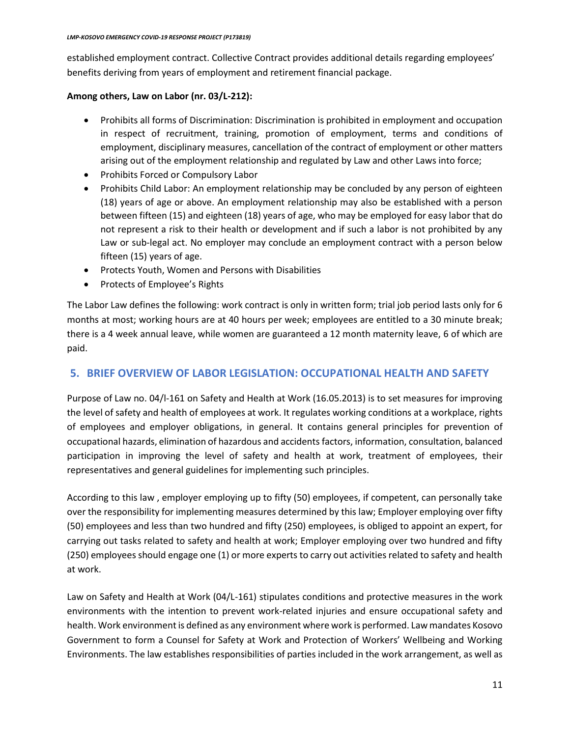established employment contract. Collective Contract provides additional details regarding employees' benefits deriving from years of employment and retirement financial package.

## **Among others, Law on Labor (nr. 03/L-212):**

- Prohibits all forms of Discrimination: Discrimination is prohibited in employment and occupation in respect of recruitment, training, promotion of employment, terms and conditions of employment, disciplinary measures, cancellation of the contract of employment or other matters arising out of the employment relationship and regulated by Law and other Laws into force;
- Prohibits Forced or Compulsory Labor
- Prohibits Child Labor: An employment relationship may be concluded by any person of eighteen (18) years of age or above. An employment relationship may also be established with a person between fifteen (15) and eighteen (18) years of age, who may be employed for easy labor that do not represent a risk to their health or development and if such a labor is not prohibited by any Law or sub-legal act. No employer may conclude an employment contract with a person below fifteen (15) years of age.
- Protects Youth, Women and Persons with Disabilities
- Protects of Employee's Rights

The Labor Law defines the following: work contract is only in written form; trial job period lasts only for 6 months at most; working hours are at 40 hours per week; employees are entitled to a 30 minute break; there is a 4 week annual leave, while women are guaranteed a 12 month maternity leave, 6 of which are paid.

# **5. BRIEF OVERVIEW OF LABOR LEGISLATION: OCCUPATIONAL HEALTH AND SAFETY**

Purpose of Law no. 04/l-161 on Safety and Health at Work (16.05.2013) is to set measures for improving the level of safety and health of employees at work. It regulates working conditions at a workplace, rights of employees and employer obligations, in general. It contains general principles for prevention of occupational hazards, elimination of hazardous and accidents factors, information, consultation, balanced participation in improving the level of safety and health at work, treatment of employees, their representatives and general guidelines for implementing such principles.

According to this law , employer employing up to fifty (50) employees, if competent, can personally take over the responsibility for implementing measures determined by this law; Employer employing over fifty (50) employees and less than two hundred and fifty (250) employees, is obliged to appoint an expert, for carrying out tasks related to safety and health at work; Employer employing over two hundred and fifty (250) employees should engage one (1) or more experts to carry out activities related to safety and health at work.

Law on Safety and Health at Work (04/L-161) stipulates conditions and protective measures in the work environments with the intention to prevent work-related injuries and ensure occupational safety and health. Work environment is defined as any environment where work is performed. Law mandates Kosovo Government to form a Counsel for Safety at Work and Protection of Workers' Wellbeing and Working Environments. The law establishes responsibilities of parties included in the work arrangement, as well as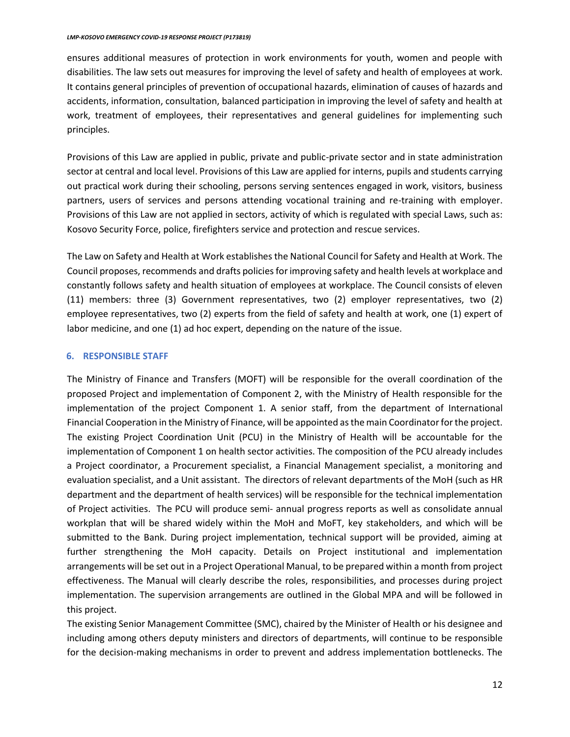ensures additional measures of protection in work environments for youth, women and people with disabilities. The law sets out measures for improving the level of safety and health of employees at work. It contains general principles of prevention of occupational hazards, elimination of causes of hazards and accidents, information, consultation, balanced participation in improving the level of safety and health at work, treatment of employees, their representatives and general guidelines for implementing such principles.

Provisions of this Law are applied in public, private and public-private sector and in state administration sector at central and local level. Provisions of this Law are applied for interns, pupils and students carrying out practical work during their schooling, persons serving sentences engaged in work, visitors, business partners, users of services and persons attending vocational training and re-training with employer. Provisions of this Law are not applied in sectors, activity of which is regulated with special Laws, such as: Kosovo Security Force, police, firefighters service and protection and rescue services.

The Law on Safety and Health at Work establishes the National Council for Safety and Health at Work. The Council proposes, recommends and drafts policies for improving safety and health levels at workplace and constantly follows safety and health situation of employees at workplace. The Council consists of eleven (11) members: three (3) Government representatives, two (2) employer representatives, two (2) employee representatives, two (2) experts from the field of safety and health at work, one (1) expert of labor medicine, and one (1) ad hoc expert, depending on the nature of the issue.

# **6. RESPONSIBLE STAFF**

The Ministry of Finance and Transfers (MOFT) will be responsible for the overall coordination of the proposed Project and implementation of Component 2, with the Ministry of Health responsible for the implementation of the project Component 1. A senior staff, from the department of International Financial Cooperation in the Ministry of Finance, will be appointed as the main Coordinator for the project. The existing Project Coordination Unit (PCU) in the Ministry of Health will be accountable for the implementation of Component 1 on health sector activities. The composition of the PCU already includes a Project coordinator, a Procurement specialist, a Financial Management specialist, a monitoring and evaluation specialist, and a Unit assistant. The directors of relevant departments of the MoH (such as HR department and the department of health services) will be responsible for the technical implementation of Project activities. The PCU will produce semi- annual progress reports as well as consolidate annual workplan that will be shared widely within the MoH and MoFT, key stakeholders, and which will be submitted to the Bank. During project implementation, technical support will be provided, aiming at further strengthening the MoH capacity. Details on Project institutional and implementation arrangements will be set out in a Project Operational Manual, to be prepared within a month from project effectiveness. The Manual will clearly describe the roles, responsibilities, and processes during project implementation. The supervision arrangements are outlined in the Global MPA and will be followed in this project.

The existing Senior Management Committee (SMC), chaired by the Minister of Health or his designee and including among others deputy ministers and directors of departments, will continue to be responsible for the decision-making mechanisms in order to prevent and address implementation bottlenecks. The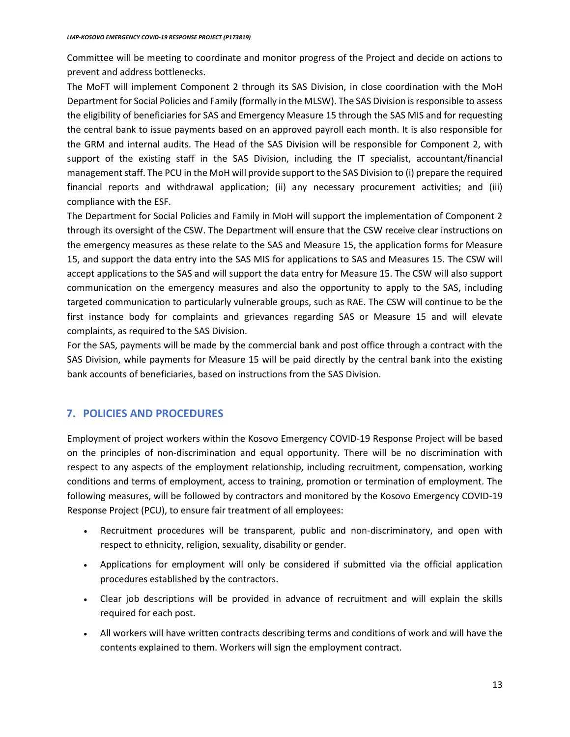Committee will be meeting to coordinate and monitor progress of the Project and decide on actions to prevent and address bottlenecks.

The MoFT will implement Component 2 through its SAS Division, in close coordination with the MoH Department for Social Policies and Family (formally in the MLSW). The SAS Division is responsible to assess the eligibility of beneficiaries for SAS and Emergency Measure 15 through the SAS MIS and for requesting the central bank to issue payments based on an approved payroll each month. It is also responsible for the GRM and internal audits. The Head of the SAS Division will be responsible for Component 2, with support of the existing staff in the SAS Division, including the IT specialist, accountant/financial management staff. The PCU in the MoH will provide support to the SAS Division to (i) prepare the required financial reports and withdrawal application; (ii) any necessary procurement activities; and (iii) compliance with the ESF.

The Department for Social Policies and Family in MoH will support the implementation of Component 2 through its oversight of the CSW. The Department will ensure that the CSW receive clear instructions on the emergency measures as these relate to the SAS and Measure 15, the application forms for Measure 15, and support the data entry into the SAS MIS for applications to SAS and Measures 15. The CSW will accept applications to the SAS and will support the data entry for Measure 15. The CSW will also support communication on the emergency measures and also the opportunity to apply to the SAS, including targeted communication to particularly vulnerable groups, such as RAE. The CSW will continue to be the first instance body for complaints and grievances regarding SAS or Measure 15 and will elevate complaints, as required to the SAS Division.

For the SAS, payments will be made by the commercial bank and post office through a contract with the SAS Division, while payments for Measure 15 will be paid directly by the central bank into the existing bank accounts of beneficiaries, based on instructions from the SAS Division.

# **7. POLICIES AND PROCEDURES**

Employment of project workers within the Kosovo Emergency COVID-19 Response Project will be based on the principles of non-discrimination and equal opportunity. There will be no discrimination with respect to any aspects of the employment relationship, including recruitment, compensation, working conditions and terms of employment, access to training, promotion or termination of employment. The following measures, will be followed by contractors and monitored by the Kosovo Emergency COVID-19 Response Project (PCU), to ensure fair treatment of all employees:

- Recruitment procedures will be transparent, public and non-discriminatory, and open with respect to ethnicity, religion, sexuality, disability or gender.
- Applications for employment will only be considered if submitted via the official application procedures established by the contractors.
- Clear job descriptions will be provided in advance of recruitment and will explain the skills required for each post.
- All workers will have written contracts describing terms and conditions of work and will have the contents explained to them. Workers will sign the employment contract.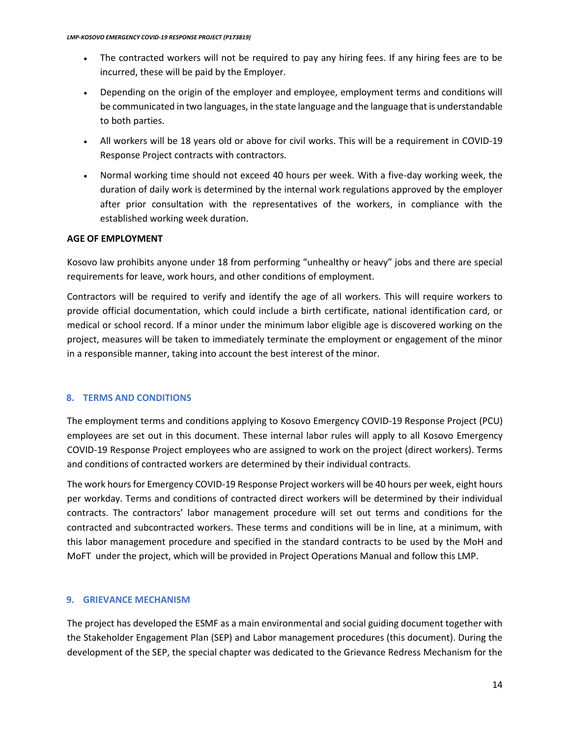- The contracted workers will not be required to pay any hiring fees. If any hiring fees are to be incurred, these will be paid by the Employer.
- Depending on the origin of the employer and employee, employment terms and conditions will be communicated in two languages, in the state language and the language that is understandable to both parties.
- All workers will be 18 years old or above for civil works. This will be a requirement in COVID-19 Response Project contracts with contractors.
- Normal working time should not exceed 40 hours per week. With a five-day working week, the duration of daily work is determined by the internal work regulations approved by the employer after prior consultation with the representatives of the workers, in compliance with the established working week duration.

#### **AGE OF EMPLOYMENT**

Kosovo law prohibits anyone under 18 from performing "unhealthy or heavy" jobs and there are special requirements for leave, work hours, and other conditions of employment.

Contractors will be required to verify and identify the age of all workers. This will require workers to provide official documentation, which could include a birth certificate, national identification card, or medical or school record. If a minor under the minimum labor eligible age is discovered working on the project, measures will be taken to immediately terminate the employment or engagement of the minor in a responsible manner, taking into account the best interest of the minor.

#### **8. TERMS AND CONDITIONS**

The employment terms and conditions applying to Kosovo Emergency COVID-19 Response Project (PCU) employees are set out in this document. These internal labor rules will apply to all Kosovo Emergency COVID-19 Response Project employees who are assigned to work on the project (direct workers). Terms and conditions of contracted workers are determined by their individual contracts.

The work hours for Emergency COVID-19 Response Project workers will be 40 hours per week, eight hours per workday. Terms and conditions of contracted direct workers will be determined by their individual contracts. The contractors' labor management procedure will set out terms and conditions for the contracted and subcontracted workers. These terms and conditions will be in line, at a minimum, with this labor management procedure and specified in the standard contracts to be used by the MoH and MoFT under the project, which will be provided in Project Operations Manual and follow this LMP.

#### **9. GRIEVANCE MECHANISM**

The project has developed the ESMF as a main environmental and social guiding document together with the Stakeholder Engagement Plan (SEP) and Labor management procedures (this document). During the development of the SEP, the special chapter was dedicated to the Grievance Redress Mechanism for the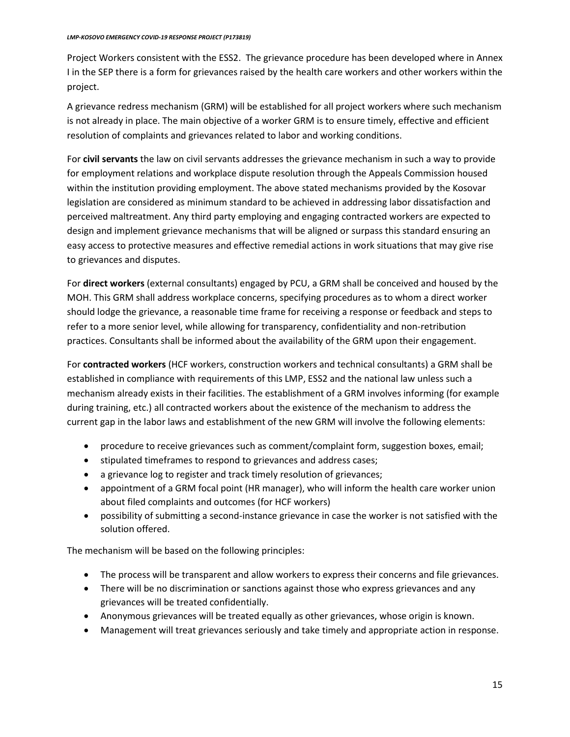#### *LMP-KOSOVO EMERGENCY COVID-19 RESPONSE PROJECT (P173819)*

Project Workers consistent with the ESS2. The grievance procedure has been developed where in Annex I in the SEP there is a form for grievances raised by the health care workers and other workers within the project.

A grievance redress mechanism (GRM) will be established for all project workers where such mechanism is not already in place. The main objective of a worker GRM is to ensure timely, effective and efficient resolution of complaints and grievances related to labor and working conditions.

For **civil servants** the law on civil servants addresses the grievance mechanism in such a way to provide for employment relations and workplace dispute resolution through the Appeals Commission housed within the institution providing employment. The above stated mechanisms provided by the Kosovar legislation are considered as minimum standard to be achieved in addressing labor dissatisfaction and perceived maltreatment. Any third party employing and engaging contracted workers are expected to design and implement grievance mechanisms that will be aligned or surpass this standard ensuring an easy access to protective measures and effective remedial actions in work situations that may give rise to grievances and disputes.

For **direct workers** (external consultants) engaged by PCU, a GRM shall be conceived and housed by the MOH. This GRM shall address workplace concerns, specifying procedures as to whom a direct worker should lodge the grievance, a reasonable time frame for receiving a response or feedback and steps to refer to a more senior level, while allowing for transparency, confidentiality and non-retribution practices. Consultants shall be informed about the availability of the GRM upon their engagement.

For **contracted workers** (HCF workers, construction workers and technical consultants) a GRM shall be established in compliance with requirements of this LMP, ESS2 and the national law unless such a mechanism already exists in their facilities. The establishment of a GRM involves informing (for example during training, etc.) all contracted workers about the existence of the mechanism to address the current gap in the labor laws and establishment of the new GRM will involve the following elements:

- procedure to receive grievances such as comment/complaint form, suggestion boxes, email;
- stipulated timeframes to respond to grievances and address cases;
- a grievance log to register and track timely resolution of grievances;
- appointment of a GRM focal point (HR manager), who will inform the health care worker union about filed complaints and outcomes (for HCF workers)
- possibility of submitting a second-instance grievance in case the worker is not satisfied with the solution offered.

The mechanism will be based on the following principles:

- The process will be transparent and allow workers to express their concerns and file grievances.
- There will be no discrimination or sanctions against those who express grievances and any grievances will be treated confidentially.
- Anonymous grievances will be treated equally as other grievances, whose origin is known.
- Management will treat grievances seriously and take timely and appropriate action in response.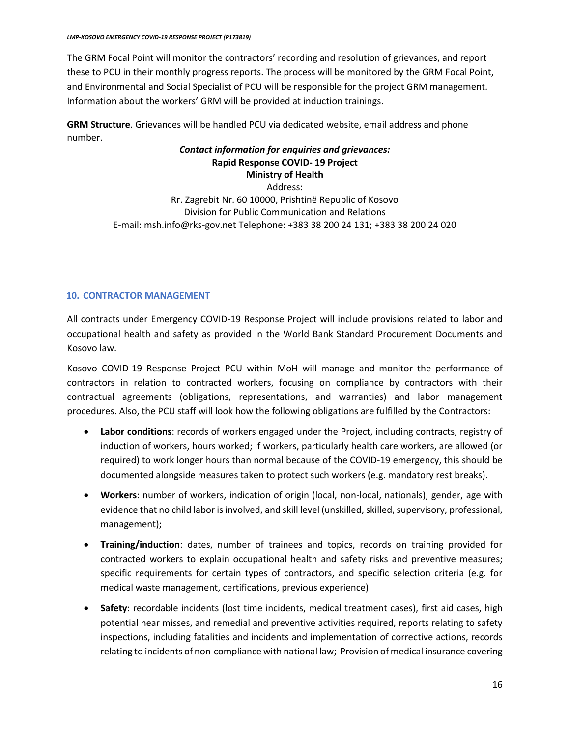The GRM Focal Point will monitor the contractors' recording and resolution of grievances, and report these to PCU in their monthly progress reports. The process will be monitored by the GRM Focal Point, and Environmental and Social Specialist of PCU will be responsible for the project GRM management. Information about the workers' GRM will be provided at induction trainings.

**GRM Structure**. Grievances will be handled PCU via dedicated website, email address and phone number.

# *Contact information for enquiries and grievances:* **Rapid Response COVID- 19 Project Ministry of Health**

Address: Rr. Zagrebit Nr. 60 10000, Prishtinë Republic of Kosovo Division for Public Communication and Relations E-mail: msh.info@rks-gov.net Telephone: +383 38 200 24 131; +383 38 200 24 020

# **10. CONTRACTOR MANAGEMENT**

All contracts under Emergency COVID-19 Response Project will include provisions related to labor and occupational health and safety as provided in the World Bank Standard Procurement Documents and Kosovo law.

Kosovo COVID-19 Response Project PCU within MoH will manage and monitor the performance of contractors in relation to contracted workers, focusing on compliance by contractors with their contractual agreements (obligations, representations, and warranties) and labor management procedures. Also, the PCU staff will look how the following obligations are fulfilled by the Contractors:

- **Labor conditions**: records of workers engaged under the Project, including contracts, registry of induction of workers, hours worked; If workers, particularly health care workers, are allowed (or required) to work longer hours than normal because of the COVID-19 emergency, this should be documented alongside measures taken to protect such workers (e.g. mandatory rest breaks).
- **Workers**: number of workers, indication of origin (local, non-local, nationals), gender, age with evidence that no child labor is involved, and skill level (unskilled, skilled, supervisory, professional, management);
- **Training/induction**: dates, number of trainees and topics, records on training provided for contracted workers to explain occupational health and safety risks and preventive measures; specific requirements for certain types of contractors, and specific selection criteria (e.g. for medical waste management, certifications, previous experience)
- **Safety**: recordable incidents (lost time incidents, medical treatment cases), first aid cases, high potential near misses, and remedial and preventive activities required, reports relating to safety inspections, including fatalities and incidents and implementation of corrective actions, records relating to incidents of non-compliance with national law; Provision of medical insurance covering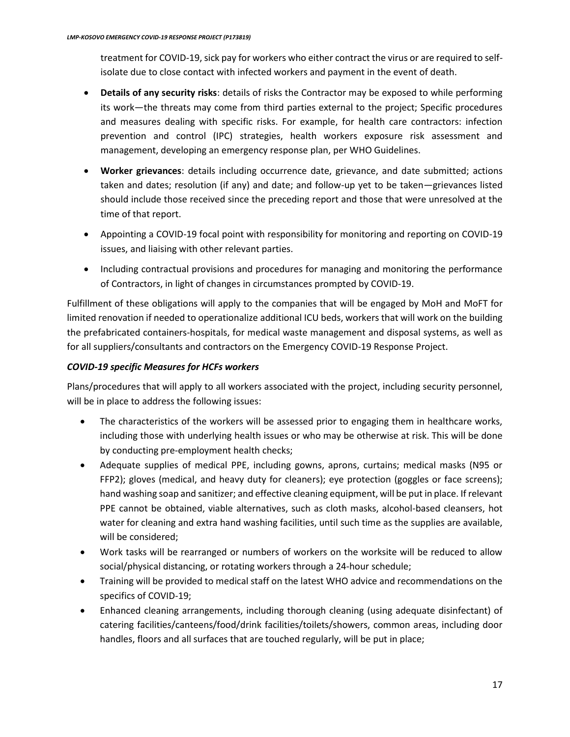treatment for COVID-19, sick pay for workers who either contract the virus or are required to selfisolate due to close contact with infected workers and payment in the event of death.

- **Details of any security risks**: details of risks the Contractor may be exposed to while performing its work—the threats may come from third parties external to the project; Specific procedures and measures dealing with specific risks. For example, for health care contractors: infection prevention and control (IPC) strategies, health workers exposure risk assessment and management, developing an emergency response plan, per WHO Guidelines.
- **Worker grievances**: details including occurrence date, grievance, and date submitted; actions taken and dates; resolution (if any) and date; and follow-up yet to be taken—grievances listed should include those received since the preceding report and those that were unresolved at the time of that report.
- Appointing a COVID-19 focal point with responsibility for monitoring and reporting on COVID-19 issues, and liaising with other relevant parties.
- Including contractual provisions and procedures for managing and monitoring the performance of Contractors, in light of changes in circumstances prompted by COVID-19.

Fulfillment of these obligations will apply to the companies that will be engaged by MoH and MoFT for limited renovation if needed to operationalize additional ICU beds, workers that will work on the building the prefabricated containers-hospitals, for medical waste management and disposal systems, as well as for all suppliers/consultants and contractors on the Emergency COVID-19 Response Project.

# *COVID-19 specific Measures for HCFs workers*

Plans/procedures that will apply to all workers associated with the project, including security personnel, will be in place to address the following issues:

- The characteristics of the workers will be assessed prior to engaging them in healthcare works, including those with underlying health issues or who may be otherwise at risk. This will be done by conducting pre-employment health checks;
- Adequate supplies of medical PPE, including gowns, aprons, curtains; medical masks (N95 or FFP2); gloves (medical, and heavy duty for cleaners); eye protection (goggles or face screens); hand washing soap and sanitizer; and effective cleaning equipment, will be put in place. If relevant PPE cannot be obtained, viable alternatives, such as cloth masks, alcohol-based cleansers, hot water for cleaning and extra hand washing facilities, until such time as the supplies are available, will be considered;
- Work tasks will be rearranged or numbers of workers on the worksite will be reduced to allow social/physical distancing, or rotating workers through a 24-hour schedule;
- Training will be provided to medical staff on the latest WHO advice and recommendations on the specifics of COVID-19;
- Enhanced cleaning arrangements, including thorough cleaning (using adequate disinfectant) of catering facilities/canteens/food/drink facilities/toilets/showers, common areas, including door handles, floors and all surfaces that are touched regularly, will be put in place;